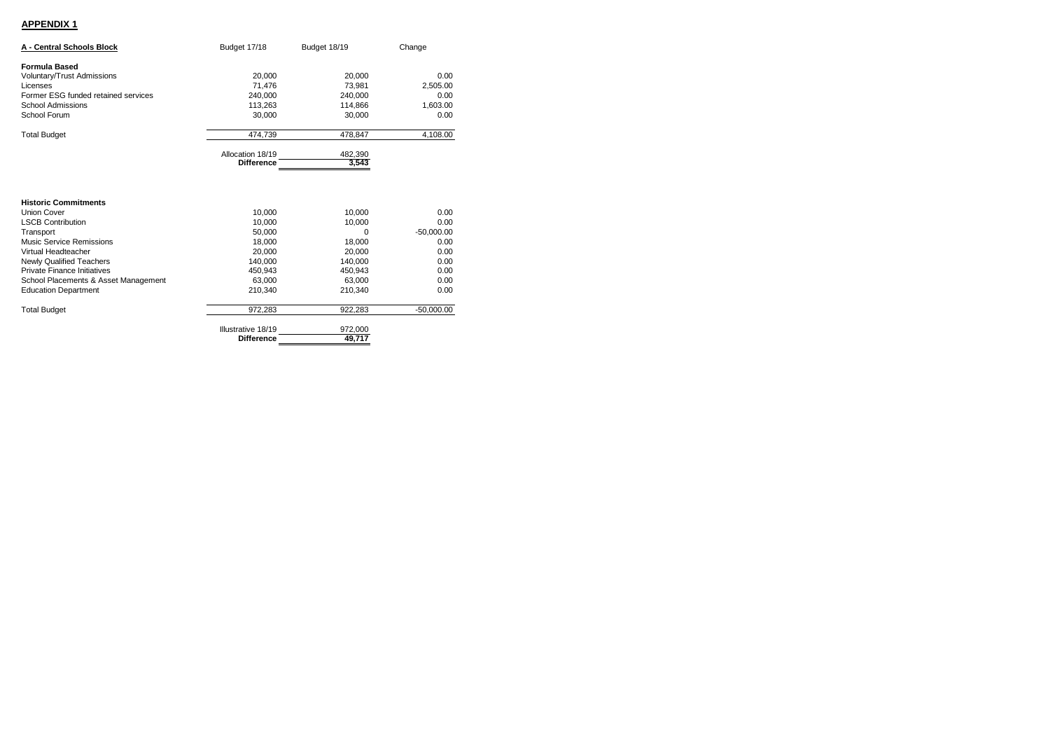## **APPENDIX 1**

| A - Central Schools Block                                                                                                                                                        | Budget 17/18                                              | Budget 18/19                                                | Change                                               |
|----------------------------------------------------------------------------------------------------------------------------------------------------------------------------------|-----------------------------------------------------------|-------------------------------------------------------------|------------------------------------------------------|
| <b>Formula Based</b>                                                                                                                                                             |                                                           |                                                             |                                                      |
| <b>Voluntary/Trust Admissions</b>                                                                                                                                                | 20,000                                                    | 20.000                                                      | 0.00                                                 |
| Licenses                                                                                                                                                                         | 71,476                                                    | 73.981                                                      | 2,505.00                                             |
| Former ESG funded retained services                                                                                                                                              | 240.000                                                   | 240.000                                                     | 0.00                                                 |
| School Admissions                                                                                                                                                                | 113,263                                                   | 114.866                                                     | 1,603.00                                             |
| School Forum                                                                                                                                                                     | 30.000                                                    | 30,000                                                      | 0.00                                                 |
| <b>Total Budget</b>                                                                                                                                                              | 474,739                                                   | 478,847                                                     | 4,108.00                                             |
|                                                                                                                                                                                  | Allocation 18/19                                          | 482,390                                                     |                                                      |
|                                                                                                                                                                                  | <b>Difference</b>                                         | 3,543                                                       |                                                      |
| <b>Historic Commitments</b><br><b>Union Cover</b><br><b>LSCB Contribution</b><br>Transport<br>Music Service Remissions<br>Virtual Headteacher<br><b>Newly Qualified Teachers</b> | 10,000<br>10.000<br>50,000<br>18,000<br>20.000<br>140,000 | 10.000<br>10,000<br>$\Omega$<br>18,000<br>20.000<br>140,000 | 0.00<br>0.00<br>$-50,000.00$<br>0.00<br>0.00<br>0.00 |
| Private Finance Initiatives                                                                                                                                                      | 450,943                                                   | 450,943                                                     | 0.00                                                 |
| School Placements & Asset Management                                                                                                                                             | 63.000                                                    | 63,000                                                      | 0.00                                                 |
| <b>Education Department</b>                                                                                                                                                      | 210.340                                                   | 210.340                                                     | 0.00                                                 |
| <b>Total Budget</b>                                                                                                                                                              | 972,283                                                   | 922,283                                                     | $-50,000.00$                                         |
|                                                                                                                                                                                  | Illustrative 18/19<br><b>Difference</b>                   | 972,000<br>49,717                                           |                                                      |